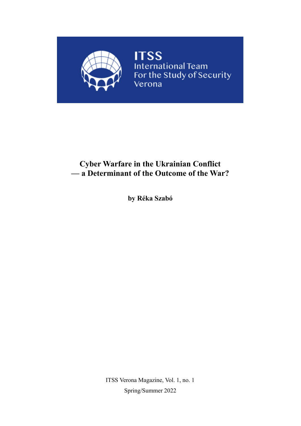

## **Cyber Warfare in the Ukrainian Conflict — a Determinant of the Outcome of the War?**

**by Réka Szabó**

ITSS Verona Magazine, Vol. 1, no. 1 Spring/Summer 2022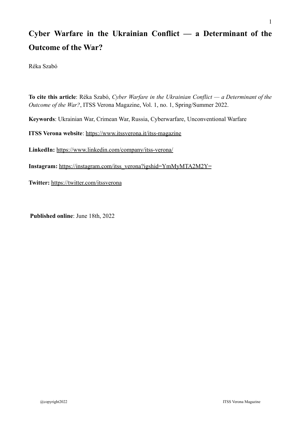# **Cyber Warfare in the Ukrainian Conflict — a Determinant of the Outcome of the War?**

Réka Szabó

**To cite this article**: Réka Szabó, *Cyber Warfare in the Ukrainian Conflict — a Determinant of the Outcome of the War?*, ITSS Verona Magazine, Vol. 1, no. 1, Spring/Summer 2022. **Keywords**: Ukrainian War, Crimean War, Russia, Cyberwarfare, Unconventional Warfare **ITSS Verona website**: <https://www.itssverona.it/itss-magazine> **LinkedIn:** <https://www.linkedin.com/company/itss-verona/>

**Instagram:** [https://instagram.com/itss\\_verona?igshid=YmMyMTA2M2Y=](https://instagram.com/itss_verona?igshid=YmMyMTA2M2Y=)

**Twitter:** <https://twitter.com/itssverona>

**Published online**: June 18th, 2022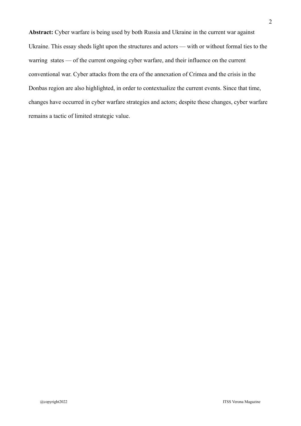**Abstract:** Cyber warfare is being used by both Russia and Ukraine in the current war against Ukraine. This essay sheds light upon the structures and actors — with or without formal ties to the warring states — of the current ongoing cyber warfare, and their influence on the current conventional war. Cyber attacks from the era of the annexation of Crimea and the crisis in the Donbas region are also highlighted, in order to contextualize the current events. Since that time, changes have occurred in cyber warfare strategies and actors; despite these changes, cyber warfare remains a tactic of limited strategic value.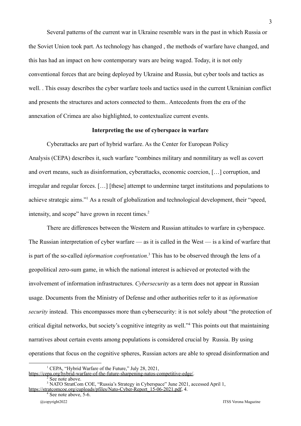Several patterns of the current war in Ukraine resemble wars in the past in which Russia or the Soviet Union took part. As technology has changed , the methods of warfare have changed, and this has had an impact on how contemporary wars are being waged. Today, it is not only conventional forces that are being deployed by Ukraine and Russia, but cyber tools and tactics as well. . This essay describes the cyber warfare tools and tactics used in the current Ukrainian conflict and presents the structures and actors connected to them.. Antecedents from the era of the annexation of Crimea are also highlighted, to contextualize current events.

#### **Interpreting the use of cyberspace in warfare**

Cyberattacks are part of hybrid warfare. As the Center for European Policy Analysis (CEPA) describes it, such warfare "combines military and nonmilitary as well as covert and overt means, such as disinformation, cyberattacks, economic coercion, […] corruption, and irregular and regular forces. […] [these] attempt to undermine target institutions and populations to achieve strategic aims."<sup>1</sup> As a result of globalization and technological development, their "speed, intensity, and scope" have grown in recent times.<sup>2</sup>

There are differences between the Western and Russian attitudes to warfare in cyberspace. The Russian interpretation of cyber warfare — as it is called in the West — is a kind of warfare that is part of the so-called *information confrontation*. <sup>3</sup> This has to be observed through the lens of a geopolitical zero-sum game, in which the national interest is achieved or protected with the involvement of information infrastructures. *Cybersecurity* as a term does not appear in Russian usage. Documents from the Ministry of Defense and other authorities refer to it as *information security* instead. This encompasses more than cybersecurity: it is not solely about "the protection of critical digital networks, but society's cognitive integrity as well."<sup>4</sup> This points out that maintaining narratives about certain events among populations is considered crucial by Russia. By using operations that focus on the cognitive spheres, Russian actors are able to spread disinformation and

<sup>&</sup>lt;sup>1</sup> CEPA, "Hybrid Warfare of the Future," July 28, 2021,

[https://cepa.org/hybrid-warfare-of-the-future-sharpening-natos-competitive-edge/.](https://cepa.org/hybrid-warfare-of-the-future-sharpening-natos-competitive-edge/)

See note above.

<sup>&</sup>lt;sup>3</sup> NATO StratCom COE, "Russia's Strategy in Cyberspace" June 2021, accessed April 1, [https://stratcomcoe.org/cuploads/pfiles/Nato-Cyber-Report\\_15-06-2021.pdf](https://stratcomcoe.org/cuploads/pfiles/Nato-Cyber-Report_15-06-2021.pdf), 4.

<sup>&</sup>lt;sup>4</sup> See note above, 5-6.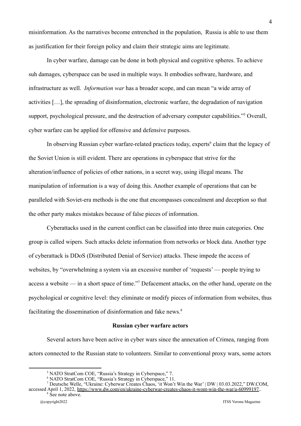misinformation. As the narratives become entrenched in the population, Russia is able to use them as justification for their foreign policy and claim their strategic aims are legitimate.

In cyber warfare, damage can be done in both physical and cognitive spheres. To achieve suh damages, cyberspace can be used in multiple ways. It embodies software, hardware, and infrastructure as well. *Information war* has a broader scope, and can mean "a wide array of activities […], the spreading of disinformation, electronic warfare, the degradation of navigation support, psychological pressure, and the destruction of adversary computer capabilities."<sup>5</sup> Overall, cyber warfare can be applied for offensive and defensive purposes.

In observing Russian cyber warfare-related practices today, experts<sup>6</sup> claim that the legacy of the Soviet Union is still evident. There are operations in cyberspace that strive for the alteration/influence of policies of other nations, in a secret way, using illegal means. The manipulation of information is a way of doing this. Another example of operations that can be paralleled with Soviet-era methods is the one that encompasses concealment and deception so that the other party makes mistakes because of false pieces of information.

Cyberattacks used in the current conflict can be classified into three main categories. One group is called wipers. Such attacks delete information from networks or block data. Another type of cyberattack is DDoS (Distributed Denial of Service) attacks. These impede the access of websites, by "overwhelming a system via an excessive number of 'requests' — people trying to access a website — in a short space of time."<sup>7</sup> Defacement attacks, on the other hand, operate on the psychological or cognitive level: they eliminate or modify pieces of information from websites, thus facilitating the dissemination of disinformation and fake news.<sup>8</sup>

#### **Russian cyber warfare actors**

Several actors have been active in cyber wars since the annexation of Crimea, ranging from actors connected to the Russian state to volunteers. Similar to conventional proxy wars, some actors

<sup>5</sup> NATO StratCom COE, "Russia's Strategy in Cyberspace," 7.

<sup>6</sup> NATO StratCom COE, "Russia's Strategy in Cyberspace," 11.

<sup>7</sup> Deutsche Welle, "Ukraine: Cyberwar Creates Chaos, 'it Won't Win the War' | DW | 03.03.2022," DW.COM, accessed April 1, 2022, [https://www.dw.com/en/ukraine-cyberwar-creates-chaos-it-wont-win-the-war/a-60999197.](https://www.dw.com/en/ukraine-cyberwar-creates-chaos-it-wont-win-the-war/a-60999197).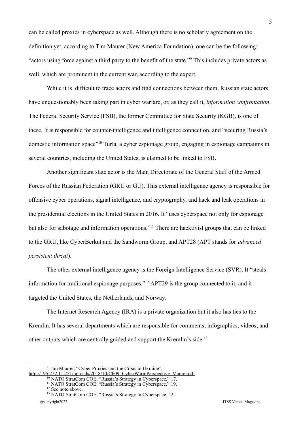can be called proxies in cyberspace as well. Although there is no scholarly agreement on the definition yet, according to Tim Maurer (New America Foundation), one can be the following: "actors using force against a third party to the benefit of the state."<sup>9</sup> This includes private actors as well, which are prominent in the current war, according to the expert.

While it is difficult to trace actors and find connections between them, Russian state actors have unquestionably been taking part in cyber warfare, or, as they call it, *information confrontation*. The Federal Security Service (FSB), the former Committee for State Security (KGB), is one of these. It is responsible for counter-intelligence and intelligence connection, and "securing Russia's domestic information space"<sup>10</sup> Turla, a cyber espionage group, engaging in espionage campaigns in several countries, including the United States, is claimed to be linked to FSB.

Another significant state actor is the Main Directorate of the General Staff of the Armed Forces of the Russian Federation (GRU or GU). This external intelligence agency is responsible for offensive cyber operations, signal intelligence, and cryptography, and hack and leak operations in the presidential elections in the United States in 2016. It "uses cyberspace not only for espionage but also for sabotage and information operations."<sup>11</sup> There are hacktivist groups that can be linked to the GRU, like CyberBerkut and the Sandworm Group, and APT28 (APT stands for *advanced persistent threat*).

The other external intelligence agency is the Foreign Intelligence Service (SVR). It "steals information for traditional espionage purposes."<sup>12</sup> APT29 is the group connected to it, and it targeted the United States, the Netherlands, and Norway.

The Internet Research Agency (IRA) is a private organization but it also has ties to the Kremlin. It has several departments which are responsible for comments, infographics, videos, and other outputs which are centrally guided and support the Kremlin's side.<sup>13</sup>

<sup>9</sup> Tim Maurer, "Cyber Proxies and the Crisis in Ukraine", [http://195.222.11.251/uploads/2018/10/Ch09\\_CyberWarinPerspective\\_Maurer.pdf](http://195.222.11.251/uploads/2018/10/Ch09_CyberWarinPerspective_Maurer.pdf)

<sup>&</sup>lt;sup>10</sup> NATO StratCom COE, "Russia's Strategy in Cyberspace," 17.

<sup>&</sup>lt;sup>11</sup> NATO StratCom COE, "Russia's Strategy in Cyberspace," 19.

<sup>&</sup>lt;sup>12</sup> See note above.

<sup>&</sup>lt;sup>13</sup> NATO StratCom COE, "Russia's Strategy in Cyberspace," 2. @copyright2022 ITSS Verona Magazine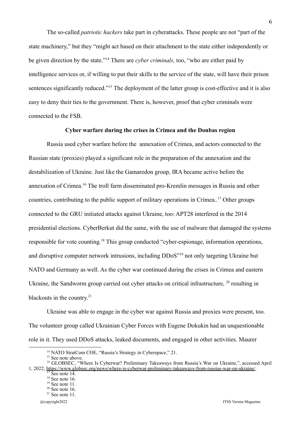The so-called *patriotic hackers* take part in cyberattacks. These people are not "part of the state machinery," but they "might act based on their attachment to the state either independently or be given direction by the state."<sup>14</sup> There are *cyber criminals,* too, "who are either paid by intelligence services or, if willing to put their skills to the service of the state, will have their prison sentences significantly reduced."<sup>15</sup> The deployment of the latter group is cost-effective and it is also easy to deny their ties to the government. There is, however, proof that cyber criminals were connected to the FSB.

### **Cyber warfare during the crises in Crimea and the Donbas region**

Russia used cyber warfare before the annexation of Crimea, and actors connected to the Russian state (proxies) played a significant role in the preparation of the annexation and the destabilization of Ukraine. Just like the Gamaredon group, IRA became active before the annexation of Crimea.<sup>16</sup> The troll farm disseminated pro-Kremlin messages in Russia and other countries, contributing to the public support of military operations in Crimea..<sup>17</sup> Other groups connected to the GRU initiated attacks against Ukraine, too: APT28 interfered in the 2014 presidential elections. CyberBerkut did the same, with the use of malware that damaged the systems responsible for vote counting.<sup>18</sup> This group conducted "cyber-espionage, information operations, and disruptive computer network intrusions, including DDoS"<sup>19</sup> not only targeting Ukraine but NATO and Germany as well. As the cyber war continued during the crises in Crimea and eastern Ukraine, the Sandworm group carried out cyber attacks on critical infrastructure, <sup>20</sup> resulting in blackouts in the country.<sup>21</sup>

Ukraine was able to engage in the cyber war against Russia and proxies were present, too. The volunteer group called Ukrainian Cyber Forces with Eugene Dokukin had an unquestionable role in it. They used DDoS attacks, leaked documents, and engaged in other activities. Maurer

6

<sup>&</sup>lt;sup>14</sup> NATO StratCom COE, "Russia's Strategy in Cyberspace," 21.

<sup>&</sup>lt;sup>15</sup> See note above.

See note  $14$ . <sup>16</sup> GLOBSEC, "Where Is Cyberwar? Preliminary Takeaways from Russia's War on Ukraine,", accessed April 1, 2022, [https://www.globsec.org/news/where-is-cyberwar-preliminary-takeaways-from-russias-war-on-ukraine/.](https://www.globsec.org/news/where-is-cyberwar-preliminary-takeaways-from-russias-war-on-ukraine/)

 $18 \text{ See note} 16$ .

 $19$  See note 11.

 $20$  See note 16.

 $21$  See note 11.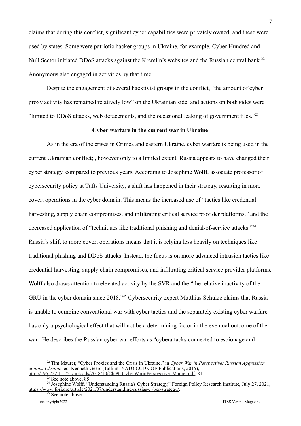claims that during this conflict, significant cyber capabilities were privately owned, and these were used by states. Some were patriotic hacker groups in Ukraine, for example, Cyber Hundred and Null Sector initiated DDoS attacks against the Kremlin's websites and the Russian central bank.<sup>22</sup> Anonymous also engaged in activities by that time.

Despite the engagement of several hacktivist groups in the conflict, "the amount of cyber proxy activity has remained relatively low" on the Ukrainian side, and actions on both sides were "limited to DDoS attacks, web defacements, and the occasional leaking of government files."<sup>23</sup>

#### **Cyber warfare in the current war in Ukraine**

As in the era of the crises in Crimea and eastern Ukraine, cyber warfare is being used in the current Ukrainian conflict; , however only to a limited extent. Russia appears to have changed their cyber strategy, compared to previous years. According to Josephine Wolff, associate professor of cybersecurity policy at Tufts University, a shift has happened in their strategy, resulting in more covert operations in the cyber domain. This means the increased use of "tactics like credential harvesting, supply chain compromises, and infiltrating critical service provider platforms," and the decreased application of "techniques like traditional phishing and denial-of-service attacks."<sup>24</sup> Russia's shift to more covert operations means that it is relying less heavily on techniques like traditional phishing and DDoS attacks. Instead, the focus is on more advanced intrusion tactics like credential harvesting, supply chain compromises, and infiltrating critical service provider platforms. Wolff also draws attention to elevated activity by the SVR and the "the relative inactivity of the GRU in the cyber domain since 2018."<sup>25</sup> Cybersecurity expert Matthias Schulze claims that Russia is unable to combine conventional war with cyber tactics and the separately existing cyber warfare has only a psychological effect that will not be a determining factor in the eventual outcome of the war. He describes the Russian cyber war efforts as "cyberattacks connected to espionage and

<sup>22</sup> Tim Maurer, "Cyber Proxies and the Crisis in Ukraine," in *Cyber War in Perspective: Russian Aggression against Ukraine*, ed. Kenneth Geers (Tallinn: NATO CCD COE Publications, 2015), [http://195.222.11.251/uploads/2018/10/Ch09\\_CyberWarinPerspective\\_Maurer.pdf,](http://195.222.11.251/uploads/2018/10/Ch09_CyberWarinPerspective_Maurer.pdf) 81.

 $23$  See note above, 85.

<sup>&</sup>lt;sup>24</sup> Josephine Wolff, "Understanding Russia's Cyber Strategy," Foreign Policy Research Institute, July 27, 2021, <https://www.fpri.org/article/2021/07/understanding-russias-cyber-strategy/>.

<sup>&</sup>lt;sup>25</sup> See note above.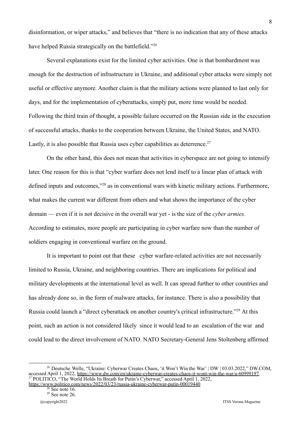disinformation, or wiper attacks," and believes that "there is no indication that any of these attacks have helped Russia strategically on the battlefield."<sup>26</sup>

Several explanations exist for the limited cyber activities. One is that bombardment was enough for the destruction of infrastructure in Ukraine, and additional cyber attacks were simply not useful or effective anymore. Another claim is that the military actions were planned to last only for days, and for the implementation of cyberattacks, simply put, more time would be needed. Following the third train of thought, a possible failure occurred on the Russian side in the execution of successful attacks, thanks to the cooperation between Ukraine, the United States, and NATO. Lastly, it is also possible that Russia uses cyber capabilities as deterrence.<sup>27</sup>

On the other hand, this does not mean that activities in cyberspace are not going to intensify later. One reason for this is that "cyber warfare does not lend itself to a linear plan of attack with defined inputs and outcomes,"<sup>28</sup> as in conventional wars with kinetic military actions. Furthermore, what makes the current war different from others and what shows the importance of the cyber domain — even if it is not decisive in the overall war yet - is the size of the *cyber armies.* According to estimates, more people are participating in cyber warfare now than the number of soldiers engaging in conventional warfare on the ground.

It is important to point out that these cyber warfare-related activities are not necessarily limited to Russia, Ukraine, and neighboring countries. There are implications for political and military developments at the international level as well. It can spread further to other countries and has already done so, in the form of malware attacks, for instance. There is also a possibility that Russia could launch a "direct cyberattack on another country's critical infrastructure."<sup>29</sup> At this point, such an action is not considered likely since it would lead to an escalation of the war and could lead to the direct involvement of NATO. NATO Secretary-General Jens Stoltenberg affirmed

<sup>27</sup> POLITICO, "The World Holds Its Breath for Putin's Cyberwar," accessed April 1, 2022, <sup>26</sup> Deutsche Welle, "Ukraine: Cyberwar Creates Chaos, 'it Won't Win the War' | DW | 03.03.2022," DW.COM, accessed April 1, 2022, [https://www.dw.com/en/ukraine-cyberwar-creates-chaos-it-wont-win-the-war/a-60999197.](https://www.dw.com/en/ukraine-cyberwar-creates-chaos-it-wont-win-the-war/a-60999197)

<https://www.politico.com/news/2022/03/23/russia-ukraine-cyberwar-putin-00019440>

 $29$  See note 26.  $\overline{8}$  See note 16.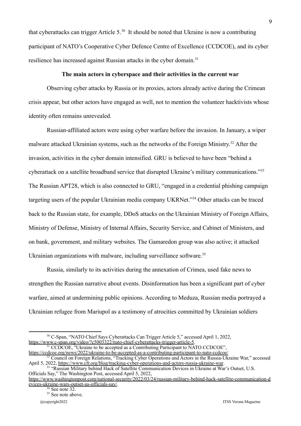that cyberattacks can trigger Article 5.<sup>30</sup> It should be noted that Ukraine is now a contributing participant of NATO's Cooperative Cyber Defence Centre of Excellence (CCDCOE), and its cyber resilience has increased against Russian attacks in the cyber domain.<sup>31</sup>

#### **The main actors in cyberspace and their activities in the current war**

Observing cyber attacks by Russia or its proxies, actors already active during the Crimean crisis appear, but other actors have engaged as well, not to mention the volunteer hacktivists whose identity often remains unrevealed.

Russian-affiliated actors were using cyber warfare before the invasion. In January, a wiper malware attacked Ukrainian systems, such as the networks of the Foreign Ministry.<sup>32</sup> After the invasion, activities in the cyber domain intensified. GRU is believed to have been "behind a cyberattack on a satellite broadband service that disrupted Ukraine's military communications."<sup>33</sup> The Russian APT28, which is also connected to GRU, "engaged in a credential phishing campaign targeting users of the popular Ukrainian media company UKRNet."<sup>34</sup> Other attacks can be traced back to the Russian state, for example, DDoS attacks on the Ukrainian Ministry of Foreign Affairs, Ministry of Defense, Ministry of Internal Affairs, Security Service, and Cabinet of Ministers, and on bank, government, and military websites. The Gamaredon group was also active; it attacked Ukrainian organizations with malware, including surveillance software.<sup>35</sup>

Russia, similarly to its activities during the annexation of Crimea, used fake news to strengthen the Russian narrative about events. Disinformation has been a significant part of cyber warfare, aimed at undermining public opinions. According to Meduza, Russian media portrayed a Ukrainian refugee from Mariupol as a testimony of atrocities committed by Ukrainian soldiers

<sup>1</sup> CCDCOE, "Ukraine to be accepted as a Contributing Participant to NATO CCDCOE", <https://ccdcoe.org/news/2022/ukraine-to-be-accepted-as-a-contributing-participant-to-nato-ccdcoe/>

<sup>35</sup> See note above. See note  $32$ .

<sup>30</sup> C-Span, "NATO Chief Says Cyberattacks Can Trigger Article 5," accessed April 1, 2022, <https://www.c-span.org/video/?c5003322/nato-chief-cyberattacks-trigger-article-5>.

<sup>&</sup>lt;sup>32</sup> Council on Foreign Relations, "Tracking Cyber Operations and Actors in the Russia-Ukraine War," accessed April 5, 2022, <https://www.cfr.org/blog/tracking-cyber-operations-and-actors-russia-ukraine-war>.

<sup>&</sup>lt;sup>33</sup> "Russian Military behind Hack of Satellite Communication Devices in Ukraine at War's Outset, U.S. Officials Say," The Washington Post, accessed April 5, 2022,

[https://www.washingtonpost.com/national-security/2022/03/24/russian-military-behind-hack-satellite-communication-d](https://www.washingtonpost.com/national-security/2022/03/24/russian-military-behind-hack-satellite-communication-devices-ukraine-wars-outset-us-officials-say/) [evices-ukraine-wars-outset-us-officials-say/.](https://www.washingtonpost.com/national-security/2022/03/24/russian-military-behind-hack-satellite-communication-devices-ukraine-wars-outset-us-officials-say/)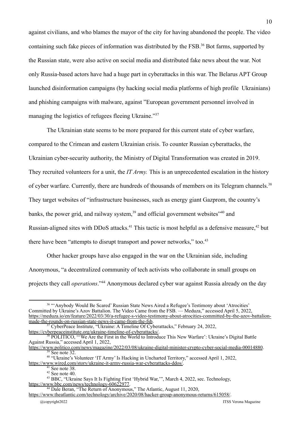against civilians, and who blames the mayor of the city for having abandoned the people. The video containing such fake pieces of information was distributed by the FSB.<sup>36</sup> Bot farms, supported by the Russian state, were also active on social media and distributed fake news about the war. Not only Russia-based actors have had a huge part in cyberattacks in this war. The Belarus APT Group launched disinformation campaigns (by hacking social media platforms of high profile Ukrainians) and phishing campaigns with malware, against "European government personnel involved in managing the logistics of refugees fleeing Ukraine."<sup>37</sup>

The Ukrainian state seems to be more prepared for this current state of cyber warfare, compared to the Crimean and eastern Ukrainian crisis. To counter Russian cyberattacks, the Ukrainian cyber-security authority, the Ministry of Digital Transformation was created in 2019. They recruited volunteers for a unit, the *IT Army.* This is an unprecedented escalation in the history of cyber warfare. Currently, there are hundreds of thousands of members on its Telegram channels.<sup>38</sup> They target websites of "infrastructure businesses, such as energy giant Gazprom, the country's banks, the power grid, and railway system, $39$  and official government websites $340$  and Russian-aligned sites with DDoS attacks.<sup>41</sup> This tactic is most helpful as a defensive measure,<sup>42</sup> but there have been "attempts to disrupt transport and power networks," too.<sup>43</sup>

Other hacker groups have also engaged in the war on the Ukrainian side, including Anonymous, "a decentralized community of tech activists who collaborate in small groups on projects they call *operations*."<sup>44</sup> Anonymous declared cyber war against Russia already on the day

[https://www.wired.com/story/ukraine-it-army-russia-war-cyberattacks-ddos/.](https://www.wired.com/story/ukraine-it-army-russia-war-cyberattacks-ddos/)

<sup>&</sup>lt;sup>36</sup> "'Anybody Would Be Scared' Russian State News Aired a Refugee's Testimony about 'Atrocities' Committed by Ukraine's Azov Battalion. The Video Came from the FSB. — Meduza," accessed April 5, 2022, [https://meduza.io/en/feature/2022/03/30/a-refugee-s-video-testimony-about-atrocities-committed-by-the-azov-battalion](https://meduza.io/en/feature/2022/03/30/a-refugee-s-video-testimony-about-atrocities-committed-by-the-azov-battalion-made-the-rounds-on-russian-state-news-it-came-from-the-fsb)[made-the-rounds-on-russian-state-news-it-came-from-the-fsb](https://meduza.io/en/feature/2022/03/30/a-refugee-s-video-testimony-about-atrocities-committed-by-the-azov-battalion-made-the-rounds-on-russian-state-news-it-came-from-the-fsb).

<sup>&</sup>lt;sup>37</sup> CyberPeace Institute, "Ukraine: A Timeline Of Cyberattacks," February 24, 2022, [https://cyberpeaceinstitute.org/ukraine-timeline-of-cyberattacks/.](https://cyberpeaceinstitute.org/ukraine-timeline-of-cyberattacks/)

<sup>38</sup> POLITICO, "'We Are the First in the World to Introduce This New Warfare': Ukraine's Digital Battle Against Russia," accessed April 1, 2022,

See note 32. <https://www.politico.com/news/magazine/2022/03/08/ukraine-digital-minister-crypto-cyber-social-media-00014880>.

<sup>&</sup>lt;sup>40</sup> "Ukraine's Volunteer 'IT Army' Is Hacking in Uncharted Territory," accessed April 1, 2022,

 $42$  See note 40.  $41$  See note 38.

<sup>43</sup> BBC, "Ukraine Says It Is Fighting First 'Hybrid War,'", March 4, 2022, sec. Technology, [https://www.bbc.com/news/technology-60622977.](https://www.bbc.com/news/technology-60622977)

<sup>44</sup> Dale Beran, "The Return of Anonymous," The Atlantic, August 11, 2020,

<https://www.theatlantic.com/technology/archive/2020/08/hacker-group-anonymous-returns/615058/>.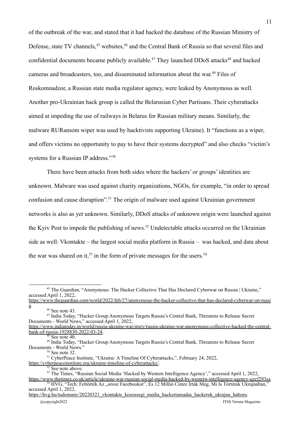of the outbreak of the war, and stated that it had hacked the database of the Russian Ministry of Defense, state TV channels,<sup>45</sup> websites,<sup>46</sup> and the Central Bank of Russia so that several files and confidential documents became publicly available.<sup>47</sup> They launched DDoS attacks<sup>48</sup> and hacked cameras and broadcasters, too, and disseminated information about the war. <sup>49</sup> Files of Roskomnadzor, a Russian state media regulator agency, were leaked by Anonymous as well. Another pro-Ukrainian hack group is called the Belarusian Cyber Partisans. Their cyberattacks aimed at impeding the use of railways in Belarus for Russian military means. Similarly, the malware RURansom wiper was used by hacktivists supporting Ukraine). It "functions as a wiper, and offers victims no opportunity to pay to have their systems decrypted" and also checks "victim's systems for a Russian IP address."<sup>50</sup>

There have been attacks from both sides where the hackers' or groups' identities are unknown. Malware was used against charity organizations, NGOs, for example, "in order to spread confusion and cause disruption".<sup>51</sup> The origin of malware used against Ukrainian government networks is also as yet unknown. Similarly, DDoS attacks of unknown origin were launched against the Kyiv Post to impede the publishing of news.<sup>52</sup> Undetectable attacks occurred on the Ukrainian side as well: Vkontakte – the largest social media platform in Russia – was hacked, and data about the war was shared on it,<sup>53</sup> in the form of private messages for the users.<sup>54</sup>

<sup>46</sup> See note 43.

<sup>&</sup>lt;sup>45</sup> The Guardian, "Anonymous: The Hacker Collective That Has Declared Cyberwar on Russia | Ukraine," accessed April 1, 2022,

[https://www.theguardian.com/world/2022/feb/27/anonymous-the-hacker-collective-that-has-declared-cyberwar-on-russi](https://www.theguardian.com/world/2022/feb/27/anonymous-the-hacker-collective-that-has-declared-cyberwar-on-russia) [a](https://www.theguardian.com/world/2022/feb/27/anonymous-the-hacker-collective-that-has-declared-cyberwar-on-russia).

<sup>47</sup> India Today, "Hacker Group Anonymous Targets Russia's Central Bank, Threatens to Release Secret Documents - World News," accessed April 1, 2022,

[https://www.indiatoday.in/world/russia-ukraine-war/story/russia-ukraine-war-anonymous-collective-hacked-the-central](https://www.indiatoday.in/world/russia-ukraine-war/story/russia-ukraine-war-anonymous-collective-hacked-the-central-bank-of-russia-1928830-2022-03-24)[bank-of-russia-1928830-2022-03-24.](https://www.indiatoday.in/world/russia-ukraine-war/story/russia-ukraine-war-anonymous-collective-hacked-the-central-bank-of-russia-1928830-2022-03-24)

 $48$  See note 40.

<sup>49</sup> India Today, "Hacker Group Anonymous Targets Russia's Central Bank, Threatens to Release Secret Documents - World News."

 $50$  See note 32.

<sup>&</sup>lt;sup>51</sup> CyberPeace Institute, "Ukraine: A Timeline Of Cyberattacks,", February 24, 2022,

[https://cyberpeaceinstitute.org/ukraine-timeline-of-cyberattacks/.](https://cyberpeaceinstitute.org/ukraine-timeline-of-cyberattacks/)

 $5<sup>2</sup>$  See note above.

<sup>&</sup>lt;sup>53</sup> The Times, "Russian Social Media 'Hacked by Western Intelligence Agency'," accessed April 1, 2022, [https://www.thetimes.co.uk/article/ukraine-war-russian-social-media-hacked-by-western-intelligence-agency-qzcf293sz.](https://www.thetimes.co.uk/article/ukraine-war-russian-social-media-hacked-by-western-intelligence-agency-qzcf293sz)

<sup>54</sup> HVG, "Tech: Feltörték Az "orosz Facebookot", És 12 Millió Címre Írták Meg, Mi Is Történik Ukrajnában," accessed April 1, 2022,

[https://hvg.hu/tudomany/20220321\\_vkontakte\\_kozossegi\\_media\\_hackertamadas\\_hackerek\\_ukrajna\\_haboru.](https://hvg.hu/tudomany/20220321_vkontakte_kozossegi_media_hackertamadas_hackerek_ukrajna_haboru)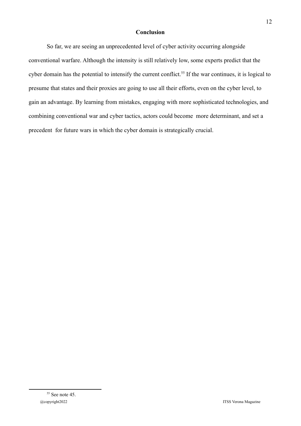#### **Conclusion**

So far, we are seeing an unprecedented level of cyber activity occurring alongside conventional warfare. Although the intensity is still relatively low, some experts predict that the cyber domain has the potential to intensify the current conflict.<sup>55</sup> If the war continues, it is logical to presume that states and their proxies are going to use all their efforts, even on the cyber level, to gain an advantage. By learning from mistakes, engaging with more sophisticated technologies, and combining conventional war and cyber tactics, actors could become more determinant, and set a precedent for future wars in which the cyber domain is strategically crucial.

12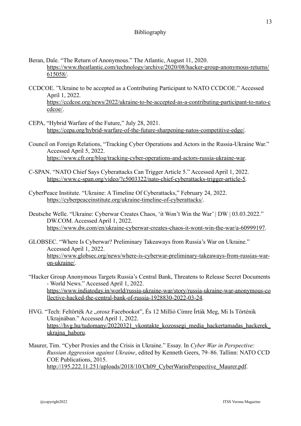- Beran, Dale. "The Return of Anonymous." The Atlantic, August 11, 2020. [https://www.theatlantic.com/technology/archive/2020/08/hacker-group-anonymous-returns/](https://www.theatlantic.com/technology/archive/2020/08/hacker-group-anonymous-returns/615058/) [615058/](https://www.theatlantic.com/technology/archive/2020/08/hacker-group-anonymous-returns/615058/).
- CCDCOE. "Ukraine to be accepted as a Contributing Participant to NATO CCDCOE." Accessed April 1, 2022. [https://ccdcoe.org/news/2022/ukraine-to-be-accepted-as-a-contributing-participant-to-nato-c](https://ccdcoe.org/news/2022/ukraine-to-be-accepted-as-a-contributing-participant-to-nato-ccdcoe/) [cdcoe/](https://ccdcoe.org/news/2022/ukraine-to-be-accepted-as-a-contributing-participant-to-nato-ccdcoe/).
- CEPA, "Hybrid Warfare of the Future," July 28, 2021. [https://cepa.org/hybrid-warfare-of-the-future-sharpening-natos-competitive-edge/.](https://cepa.org/hybrid-warfare-of-the-future-sharpening-natos-competitive-edge/)
- Council on Foreign Relations, "Tracking Cyber Operations and Actors in the Russia-Ukraine War." Accessed April 5, 2022. <https://www.cfr.org/blog/tracking-cyber-operations-and-actors-russia-ukraine-war>.
- C-SPAN. "NATO Chief Says Cyberattacks Can Trigger Article 5." Accessed April 1, 2022. [https://www.c-span.org/video/?c5003322/nato-chief-cyberattacks-trigger-article-5.](https://www.c-span.org/video/?c5003322/nato-chief-cyberattacks-trigger-article-5)
- CyberPeace Institute. "Ukraine: A Timeline Of Cyberattacks," February 24, 2022. <https://cyberpeaceinstitute.org/ukraine-timeline-of-cyberattacks/>.
- Deutsche Welle. "Ukraine: Cyberwar Creates Chaos, 'it Won't Win the War' | DW | 03.03.2022." DW.COM. Accessed April 1, 2022. [https://www.dw.com/en/ukraine-cyberwar-creates-chaos-it-wont-win-the-war/a-60999197.](https://www.dw.com/en/ukraine-cyberwar-creates-chaos-it-wont-win-the-war/a-60999197)
- GLOBSEC. "Where Is Cyberwar? Preliminary Takeaways from Russia's War on Ukraine." Accessed April 1, 2022. [https://www.globsec.org/news/where-is-cyberwar-preliminary-takeaways-from-russias-war](https://www.globsec.org/news/where-is-cyberwar-preliminary-takeaways-from-russias-war-on-ukraine/)[on-ukraine/](https://www.globsec.org/news/where-is-cyberwar-preliminary-takeaways-from-russias-war-on-ukraine/).
- "Hacker Group Anonymous Targets Russia's Central Bank, Threatens to Release Secret Documents - World News." Accessed April 1, 2022. [https://www.indiatoday.in/world/russia-ukraine-war/story/russia-ukraine-war-anonymous-co](https://www.indiatoday.in/world/russia-ukraine-war/story/russia-ukraine-war-anonymous-collective-hacked-the-central-bank-of-russia-1928830-2022-03-24) [llective-hacked-the-central-bank-of-russia-1928830-2022-03-24.](https://www.indiatoday.in/world/russia-ukraine-war/story/russia-ukraine-war-anonymous-collective-hacked-the-central-bank-of-russia-1928830-2022-03-24)
- HVG. "Tech: Feltörték Az "orosz Facebookot", És 12 Millió Címre Írták Meg, Mi Is Történik Ukrajnában." Accessed April 1, 2022. [https://hvg.hu/tudomany/20220321\\_vkontakte\\_kozossegi\\_media\\_hackertamadas\\_hackerek\\_](https://hvg.hu/tudomany/20220321_vkontakte_kozossegi_media_hackertamadas_hackerek_ukrajna_haboru) ukrajna haboru.
- Maurer, Tim. "Cyber Proxies and the Crisis in Ukraine." Essay. In *Cyber War in Perspective: Russian Aggression against Ukraine*, edited by Kenneth Geers, 79–86. Tallinn: NATO CCD COE Publications, 2015. [http://195.222.11.251/uploads/2018/10/Ch09\\_CyberWarinPerspective\\_Maurer.pdf.](http://195.222.11.251/uploads/2018/10/Ch09_CyberWarinPerspective_Maurer.pdf)